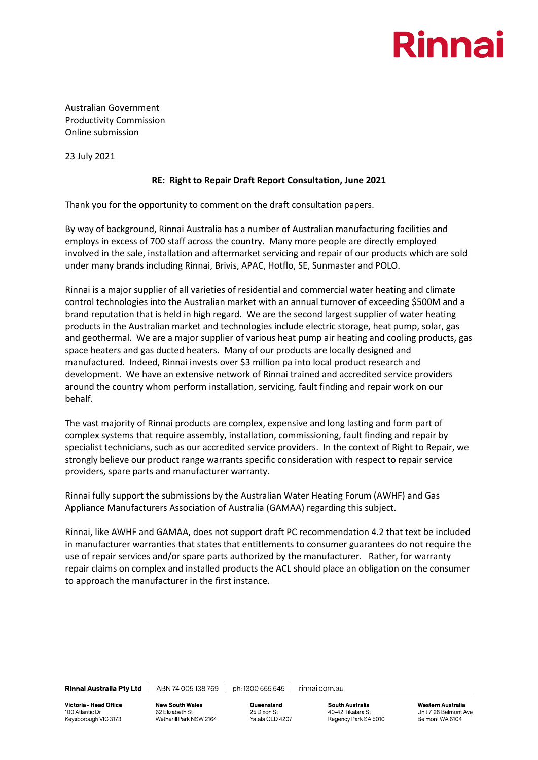

Australian Government Productivity Commission Online submission

23 July 2021

## **RE: Right to Repair Draft Report Consultation, June 2021**

Thank you for the opportunity to comment on the draft consultation papers.

By way of background, Rinnai Australia has a number of Australian manufacturing facilities and employs in excess of 700 staff across the country. Many more people are directly employed involved in the sale, installation and aftermarket servicing and repair of our products which are sold under many brands including Rinnai, Brivis, APAC, Hotflo, SE, Sunmaster and POLO.

Rinnai is a major supplier of all varieties of residential and commercial water heating and climate control technologies into the Australian market with an annual turnover of exceeding \$500M and a brand reputation that is held in high regard. We are the second largest supplier of water heating products in the Australian market and technologies include electric storage, heat pump, solar, gas and geothermal. We are a major supplier of various heat pump air heating and cooling products, gas space heaters and gas ducted heaters. Many of our products are locally designed and manufactured. Indeed, Rinnai invests over \$3 million pa into local product research and development. We have an extensive network of Rinnai trained and accredited service providers around the country whom perform installation, servicing, fault finding and repair work on our behalf.

The vast majority of Rinnai products are complex, expensive and long lasting and form part of complex systems that require assembly, installation, commissioning, fault finding and repair by specialist technicians, such as our accredited service providers. In the context of Right to Repair, we strongly believe our product range warrants specific consideration with respect to repair service providers, spare parts and manufacturer warranty.

Rinnai fully support the submissions by the Australian Water Heating Forum (AWHF) and Gas Appliance Manufacturers Association of Australia (GAMAA) regarding this subject.

Rinnai, like AWHF and GAMAA, does not support draft PC recommendation 4.2 that text be included in manufacturer warranties that states that entitlements to consumer guarantees do not require the use of repair services and/or spare parts authorized by the manufacturer. Rather, for warranty repair claims on complex and installed products the ACL should place an obligation on the consumer to approach the manufacturer in the first instance.

Rinnai Australia Pty Ltd | ABN 74 005 138 769 | ph: 1300 555 545 | rinnai.com.au

Victoria Head Office 100 Atlantic Dr Keysborough VIC 3173 **New South Wales** 62 Elizabeth St Wetherill Park NSW 2164 Queensland 25 Dixon St Yatala QLD 4207 **South Australia** 40-42 Tikalara St Regency Park SA 5010

**Western Australia** Unit 7, 28 Belmont Ave Belmont WA 6104